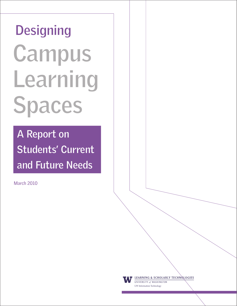# **Designing Campus Learning Spaces**

**A Report on Students' Current and Future Needs**

March 2010



LEARNING & SCHOLARLY TECHNOLOGIES

UNIVERSITY of WASHINGTON UW Information Technology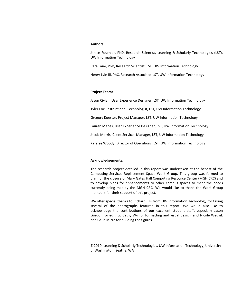#### **Authors:**

Janice Fournier, PhD, Research Scientist, Learning & Scholarly Technologies (LST), UW Information Technology

Cara Lane, PhD, Research Scientist, LST, UW Information Technology

Henry Lyle III, PhC, Research Associate, LST, UW Information Technology

#### **Project Team:**

Jason Civjan, User Experience Designer, LST, UW Information Technology

Tyler Fox, Instructional Technologist, LST, UW Information Technology

Gregory Koester, Project Manager, LST, UW Information Technology

Lauren Manes, User Experience Designer, LST, UW Information Technology

Jacob Morris, Client Services Manager, LST, UW Information Technology

Karalee Woody, Director of Operations, LST, UW Information Technology

#### **Acknowledgements:**

The research project detailed in this report was undertaken at the behest of the Computing Services Replacement Space Work Group. This group was formed to plan for the closure of Mary Gates Hall Computing Resource Center (MGH CRC) and to develop plans for enhancements to other campus spaces to meet the needs currently being met by the MGH CRC. We would like to thank the Work Group members for their support of this project.

We offer special thanks to Richard Ells from UW Information Technology for taking several of the photographs featured in this report. We would also like to acknowledge the contributions of our excellent student staff, especially Jason Gordon for editing, Cathy Wu for formatting and visual design, and Nicole Wedvik and Galib Mirza for building the figures.

©2010, Learning & Scholarly Technologies, UW Information Technology, University of Washington, Seattle, WA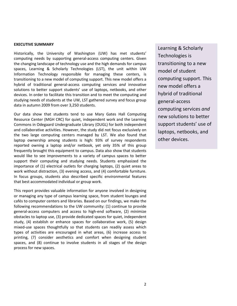#### **EXECUTIVE SUMMARY**

Historically, the University of Washington (UW) has met students' computing needs by supporting general-access computing centers. Given the changing landscape of technology use and the high demands for campus spaces, Learning & Scholarly Technologies (LST), the unit within UW Information Technology responsible for managing these centers, is transitioning to a new model of computing support. This new model offers a hybrid of traditional general-access computing services and innovative solutions to better support students' use of laptops, netbooks, and other devices. In order to facilitate this transition and to meet the computing and studying needs of students at the UW, LST gathered survey and focus group data in autumn 2009 from over 3,250 students.

Our data show that students tend to use Mary Gates Hall Computing Resource Center (MGH CRC) for quiet, independent work and the Learning Commons in Odegaard Undergraduate Library (OUGL) for both independent and collaborative activities. However, the study did not focus exclusively on the two large computing centers managed by LST. We also found that laptop ownership among students is high: 93% of survey respondents reported owning a laptop and/or netbook, yet only 35% of this group frequently brought this equipment to campus. Data also show that students would like to see improvements to a variety of campus spaces to better support their computing and studying needs. Students emphasized the importance of (1) electrical outlets for charging laptops, (2) quiet areas to work without distraction, (3) evening access, and (4) comfortable furniture. In focus groups, students also described specific environmental features that best accommodated individual or group work.

This report provides valuable information for anyone involved in designing or managing any type of campus learning space, from student lounges and cafés to computer centers and libraries. Based on our findings, we make the following recommendations to the UW community: (1) continue to provide general-access computers and access to high-end software, (2) minimize obstacles to laptop use, (3) provide dedicated spaces for quiet, independent study, (4) establish or enhance spaces for collaborative work, (5) design mixed-use spaces thoughtfully so that students can readily assess which types of activities are encouraged in what areas, (6) increase access to printing, (7) consider aesthetics and comfort when designing student spaces, and (8) continue to involve students in all stages of the design process for new spaces.

Learning & Scholarly Technologies is transitioning to a new model of student computing support. This new model offers a hybrid'of traditional' general-access computing'services'*and\$* new solutions to better support students' use of laptops, netbooks, and other devices.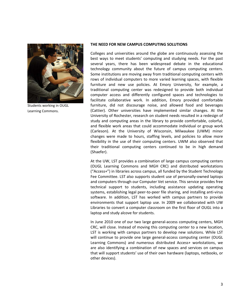

Students working in OUGL Learning Commons.

## THE NEED FOR NEW CAMPUS COMPUTING SOLUTIONS

Colleges and universities around the globe are continuously assessing the best ways to meet students' computing and studying needs. For the past several years, there has been widespread debate in the educational technology community about the future of campus computing centers. Some institutions are moving away from traditional computing centers with rows of individual computers to more varied learning spaces, with flexible furniture and new use policies. At Emory University, for example, a traditional' computing' center' was' redesigned' to' provide' both' individual' computer' access' and' differently' configured' spaces' and' technologies' to' facilitate collaborative work. In addition, Emory provided comfortable furniture, did not discourage noise, and allowed food and beverages (Cattier). Other universities have implemented similar changes. At the University of Rochester, research on student needs resulted in a redesign of study and computing areas in the library to provide comfortable, colorful, and flexible work areas that could accommodate individual or group work (Carleson). At the University of Wisconsin, Milwaukee (UWM) minor changes were made to hours, staffing levels, and policies to allow more flexibility in the use of their computing centers. UWM also observed that their traditional computing centers continued to be in high demand (Shaefer).

At the UW, LST provides a combination of large campus computing centers (OUGL' Learning' Commons' and' MGH' CRC)' and' distributed' workstations' ("Access+") in libraries across campus, all funded by the Student Technology Fee Committee. LST also supports student use of personally-owned laptops and computers through our Computer Vet service. This service provides free. technical support to students, including assistance updating operating systems, establishing legal peer-to-peer file sharing, and installing anti-virus software. In addition, LST has worked with campus partners to provide environments that support laptop use. In 2009 we collaborated with UW Libraries to convert a computer classroom on the first floor of OUGL into a laptop and study alcove for students.

In June 2010 one of our two large general-access computing centers, MGH CRC, will close. Instead of moving this computing center to a new location, LST is working with campus partners to develop new solutions. While LST will continue to provide one large general-access computing center (OUGL Learning Commons) and numerous distributed Access+ workstations, we are also identifying a combination of new spaces and services on campus that will support students' use of their own hardware (laptops, netbooks, or other devices).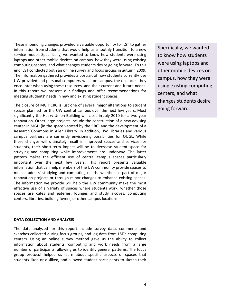These impending changes provided a valuable opportunity for LST to gather information from students that would help us smoothly transition to a new service model. Specifically, we wanted to know how students were using laptops and other mobile devices on campus, how they were using existing computing centers, and what changes students desire going forward. To this end, LST conducted both an online survey and focus groups in autumn 2009. The information gathered provides a portrait of how students currently use UW-provided and personal computers while on campus, the obstacles they encounter when using these resources, and their current and future needs. In this report we present our findings and offer recommendations for meeting students' needs in new and existing student spaces.

The closure of MGH CRC is just one of several major alterations to student spaces planned for the UW central campus over the next few years. Most significantly the Husky Union Building will close in July 2010 for a two-year renovation. Other large projects include the construction of a new advising center in MGH (in the space vacated by the CRC) and the development of a Research Commons in Allen Library. In addition, UW Libraries and various campus partners are currently envisioning possibilities for OUGL. While these changes will ultimately result in improved spaces and services for students, their short-term impact will be to decrease student space for studying and computing while improvements are underway. The latter pattern makes the efficient use of central campus spaces particularly important over the next few years. This report presents valuable information that can help members of the UW community provide spaces to meet students' studying and computing needs, whether as part of major renovation projects or through minor changes to enhance existing spaces. The information we provide will help the UW community make the most effective use of a variety of spaces where students work, whether those spaces are cafés and eateries, lounges and study alcoves, computing centers, libraries, building foyers, or other campus locations.

#### DATA COLLECTION AND ANALYSIS

The data analyzed for this report include survey data, comments and sketches collected during focus groups, and log data from LST's computing centers. Using an online survey method gave us the ability to collect information about students' computing and work needs from a large number of participants, allowing us to identify general patterns. The focus group protocol helped us learn about specific aspects of spaces that students liked or disliked, and allowed student participants to sketch their

Specifically, we wanted to know how students were using laptops and other mobile devices on campus, how they were using existing computing centers, and what changes students desire going'forward.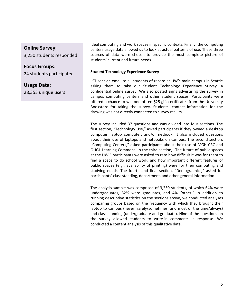# **Online Survey:**

3,250 students responded

# **Focus Groups:**

24 students participated

# **Usage Data:**

28,353 unique users

ideal computing and work spaces in specific contexts. Finally, the computing centers usage data allowed us to look at actual patterns of use. These three sources of data were chosen to provide the most complete picture of students' current and future needs.

# **Student Technology Experience Survey**

LST sent an email to all students of record at UW's main campus in Seattle asking them to take our Student Technology Experience Survey, a confidential online survey. We also posted signs advertising the survey in campus computing centers and other student spaces. Participants were offered a chance to win one of ten \$25 gift certificates from the University Bookstore for taking the survey. Students' contact information for the drawing was not directly connected to survey results.

The survey included 37 questions and was divided into four sections. The first section, "Technology Use," asked participants if they owned a desktop computer, laptop computer, and/or netbook. It also included questions about their use of laptops and netbooks on campus. The second section, "Computing Centers," asked participants about their use of MGH CRC and OUGL Learning Commons. In the third section, "The future of public spaces at the UW," participants were asked to rate how difficult it was for them to find a space to do school work, and how important different features of public spaces (e.g., availability of printing) were for their computing and studying needs. The fourth and final section, "Demographics," asked for participants' class standing, department, and other general information.

The analysis sample was comprised of 3,250 students, of which 64% were undergraduates, 32% were graduates, and 4% "other." In addition to running descriptive statistics on the sections above, we conducted analyses comparing groups based on the frequency with which they brought their laptop to campus (never, rarely/sometimes, and most of the time/always) and class standing (undergraduate and graduate). Nine of the questions on the survey allowed students to write-in comments in response. We conducted a content analysis of this qualitative data.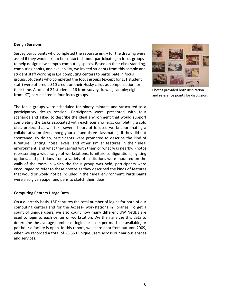# **Design Sessions**

Survey participants who completed the separate entry for the drawing were asked if they would like to be contacted about participating in focus groups to help design new campus computing spaces. Based on their class standing, computing habits, and availability, we invited students from this sample and student staff working in LST computing centers to participate in focus groups. Students who completed the focus groups (except for LST student) staff) were offered a \$10 credit on their Husky cards as compensation for their time. A total of 24 students (16 from survey drawing sample; eight from LST) participated in four focus groups.

The focus groups were scheduled for ninety minutes and structured as a participatory design session. Participants were presented with four scenarios and asked to describe the ideal environment that would support completing the tasks associated with each scenario (e.g., completing a solo class project that will take several hours of focused work; coordinating a collaborative project among yourself and three classmates). If they did not spontaneously do so, participants were prompted to describe the kind of furniture, lighting, noise levels, and other similar features in their ideal environment, and what they carried with them or what was nearby. Photos representing a wide range of workstations, furniture configurations, lighting options, and partitions from a variety of institutions were mounted on the walls of the room in which the focus group was held; participants were encouraged to refer to these photos as they described the kinds of features that would or would not be included in their ideal environment. Participants were also given paper and pens to sketch their ideas.

# **Computing Centers Usage Data**

On a quarterly basis, LST captures the total number of logins for both of our computing centers and for the Access+ workstations in libraries. To get a count of unique users, we also count how many different UW NetIDs are used to login to each center or workstation. We then analyze this data to determine the average number of logins or users per machine available, or per hour a facility is open. In this report, we share data from autumn 2009, when we recorded a total of 28,353 unique users across our various spaces and services.



Photos provided both inspiration and reference points for discussion.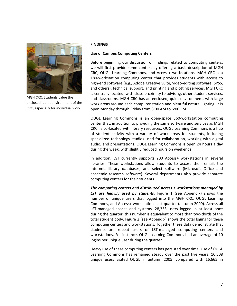

MGH CRC: Students value the enclosed, quiet environment of the CRC, especially for individual work.

# **FINDINGS**

# **Use of Campus Computing Centers**

Before beginning our discussion of findings related to computing centers, we will first provide some context by offering a basic description of MGH CRC, OUGL Learning Commons, and Access+ workstations. MGH CRC is a 180-workstation computing center that provides students with access to high-end software (e.g., Adobe Creative Suite, video-editing software, SPSS, and others), technical support, and printing and plotting services. MGH CRC is centrally-located, with close proximity to advising, other student services, and classrooms. MGH CRC has an enclosed, quiet environment, with large work areas around each computer station and plentiful natural lighting. It is open Monday through Friday from 8:00 AM to 6:00 PM.

OUGL Learning Commons is an open-space 360-workstation computing center that, in addition to providing the same software and services as MGH CRC, is co-located with library resources. OUGL Learning Commons is a hub of student activity with a variety of work areas for students, including specialized technology studios used for collaboration, working with digital audio, and presentations. OUGL Learning Commons is open 24 hours a day during the week, with slightly reduced hours on weekends.

In addition, LST currently supports 200 Access+ workstations in several libraries. These workstations allow students to access their email, the Internet, library databases, and select software (Microsoft Office and academic research software). Several departments also provide separate computing centers for their students.

The computing centers and distributed Access + workstations managed by **LST** are *heavily used by students.* Figure 1 (see Appendix) shows the number of unique users that logged into the MGH CRC, OUGL Learning Commons, and Access+ workstations last quarter (autumn 2009). Across all LST-managed spaces and systems, 28,353 users logged in at least once during the quarter; this number is equivalent to more than two-thirds of the total student body. Figure 2 (see Appendix) shows the total logins for these computing centers and workstations. Together these data demonstrate that students are repeat users of LST-managed computing centers and workstations. For instance, OUGL Learning Commons had an average of 10 logins per unique user during the quarter.

Heavy use of these computing centers has persisted over time. Use of OUGL Learning Commons has remained steady over the past five years: 16,508 unique users visited OUGL in autumn 2005, compared with 16,665 in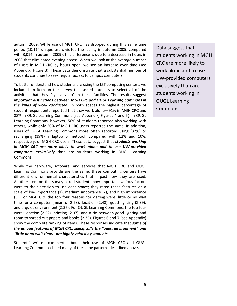autumn' 2009. While use of MGH CRC has dropped during this same time period (10,114 unique users visited the facility in autumn 2005, compared with 8,014 in autumn 2009), this difference is due to a decrease in hours in 2008 that eliminated evening access. When we look at the average number of users in MGH CRC by hours open, we see an increase over time (see Appendix, Figure 3). These data demonstrate that a substantial number of students continue to seek regular access to campus computers.

To better understand how students are using the LST computing centers, we included an item on the survey that asked students to select all of the activities that they "typically do" in these facilities. The results suggest *important distinctions between MGH CRC and OUGL Learning Commons in* **the kinds of work conducted.** In both spaces the highest percentage of student respondents reported that they work alone—91% in MGH CRC and 88% in OUGL Learning Commons (see Appendix, Figures 4 and 5). In OUGL Learning Commons, however, 56% of students reported also working with others, while only 20% of MGH CRC users reported the same. In addition, users of OUGL Learning Commons more often reported using (32%) or recharging (19%) a laptop or netbook compared with 12% and 10%, respectively, of MGH CRC users. These data suggest that *students working* in MGH CRC are more likely to work alone and to use UW-provided *computers exclusively* than are students working in OUGL Learning Commons.

While the hardware, software, and services that MGH CRC and OUGL Learning Commons provide are the same, these computing centers have different environmental characteristics that impact how they are used. Another item on the survey asked students how important various factors were to their decision to use each space; they rated these features on a scale of low importance (1), medium importance (2), and high importance (3). For MGH CRC the top four reasons for visiting were: little or no wait time for a computer (mean of 2.58); location (2.48); good lighting (2.39); and a quiet environment (2.37). For OUGL Learning Commons, the top four were: location (2.52), printing (2.37), and a tie between good lighting and room to spread out papers and books (2.35). Figures 6 and 7 (see Appendix) show the complete ranking of items. These responses indicate that *some of* the unique features of MGH CRC, specifically the "quiet environment" and "little or no wait time," are highly valued by students.

Students' written comments about their use of MGH CRC and OUGL Learning Commons echoed many of the same patterns described above.

Data suggest that students working in MGH CRC are more likely to work alone and to use UW-provided computers exclusively than are students working in **OUGL Learning** Commons.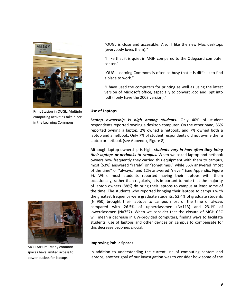

Print Station in OUGL: Multiple computing activities take place in the Learning Commons.

"OUGL is close and accessible. Also, I like the new Mac desktops (everybody loves them)."

"I like that it is quiet in MGH compared to the Odegaard computer center."

"OUGL Learning Commons is often so busy that it is difficult to find a place to work."

"I have used the computers for printing as well as using the latest version of Microsoft office, especially to convert .doc and .ppt into .pdf (I only have the 2003 version)."

# **Use of Laptops**

Laptop ownership is high among students. Only 40% of student respondents reported owning a desktop computer. On the other hand, 85% reported owning a laptop, 2% owned a netbook, and 7% owned both a laptop and a netbook. Only 7% of student respondents did not own either a laptop or netbook (see Appendix, Figure 8).

Although laptop ownership is high, *students vary in how often they bring their laptops or netbooks to campus.* When we asked laptop and netbook owners how frequently they carried this equipment with them to campus, most (53%) answered "rarely" or "sometimes," while 35% answered "most of the time" or "always," and 12% answered "never" (see Appendix, Figure 9). While most students reported having their laptops with them occasionally, rather than regularly, it is important to note that the majority of laptop owners (88%) do bring their laptops to campus at least some of the time. The students who reported bringing their laptops to campus with the greatest frequency were graduate students: 52.4% of graduate students (N=950) brought their laptops to campus most of the time or always compared with  $26.5%$  of upperclassmen (N=113) and 23.1% of lowerclassmen (N=757). When we consider that the closure of MGH CRC will mean a decrease in UW-provided computers, finding ways to facilitate students' use of laptops and other devices on campus to compensate for this decrease becomes crucial.



MGH Atrium: Many common spaces have limited access to power outlets for laptops.

#### **Improving Public Spaces**

In addition to understanding the current use of computing centers and laptops, another goal of our investigation was to consider how some of the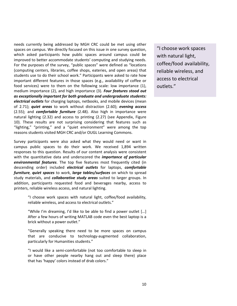needs currently being addressed by MGH CRC could be met using other spaces on campus. We directly focused on this issue in one survey question, which asked participants how public spaces around campus could be improved to better accommodate students' computing and studying needs. For the purposes of the survey, "public spaces" were defined as "locations (computing centers, libraries, coffee shops, eateries, and open areas) that students use to do their school work." Participants were asked to rate how important different features in those spaces (e.g., availability of coffee or food services) were to them on the following scale: low importance (1), medium importance (2), and high importance (3). *Four features stood out* as exceptionally important for both graduate and undergraduate students: *electrical outlets* for charging laptops, netbooks, and mobile devices (mean) of 2.71); *quiet areas* to work without distraction (2.60); *evening access* (2.55); and *comfortable furniture* (2.48). Also high in importance were natural lighting (2.32) and access to printing (2.27) (see Appendix, Figure 10). These results are not surprising considering that features such as "lighting," "printing," and a "quiet environment" were among the top reasons students visited MGH CRC and/or OUGL Learning Commons.

Survey participants were also asked what they would need or want in campus public spaces to do their work. We received 1,894 written responses to this question. Results of our content analysis were consistent with the quantitative data and underscored the *importance of particular environmental features*. The top five features most frequently cited (in descending' order)' included' *electrical\$ outlets* for' laptops, *comfortable\$ furniture*, *quiet spaces* to work, *large tables/surfaces* on which to spread study materials, and *collaborative study areas* suited to larger groups. In addition, participants requested food and beverages nearby, access to printers, reliable wireless access, and natural lighting.

> "I choose work spaces with natural light, coffee/food availability, reliable wireless, and access to electrical outlets."

> "While I'm dreaming, I'd like to be able to find a power outlet [...] After a few hours of writing MATLAB code even the best laptop is a brick without a power outlet."

> "Generally' speaking' there' need' to' be' more' spaces' on' campus' that are conducive to technology-augmented collaboration, particularly for Humanities students."

> "I would like a semi-comfortable (not too comfortable to sleep in or' have' other' people' nearby' hang' out' and' sleep' there)' place' that has 'happy' colors instead of drab colors."

"I choose work spaces with natural light, coffee/food availability, reliable wireless, and access to electrical outlets."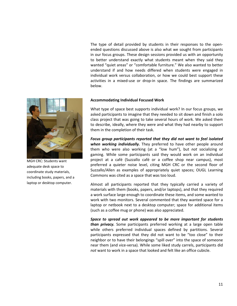The type of detail provided by students in their responses to the openended questions discussed above is also what we sought from participants in our focus groups. These design sessions provided us with an opportunity to better understand exactly what students meant when they said they wanted "quiet areas" or "comfortable furniture." We also wanted to better understand if and how needs differed when students were engaged in individual work versus collaboration, or how we could best support these activities in a mixed-use or drop-in space. The findings are summarized below.



MGH CRC: Students want adequate desk space to coordinate study materials, including books, papers, and a laptop or desktop computer.

# **Accommodating Individual Focused Work**

What type of space best supports individual work? In our focus groups, we' asked participants to imagine that they needed to sit down and finish a solo class project that was going to take several hours of work. We asked them to describe, ideally, where they were and what they had nearby to support them in the completion of their task.

Focus group participants reported that they did not want to feel isolated when working *individually*. They preferred to have other people around them who were also working (at a "low hum"), but *not* socializing or gaming. While some participants said they would work on an individual project at a café (Suzzallo café or a coffee shop near campus), most preferred a quieter noise level, citing MGH CRC or the second floor of Suzzallo/Allen as examples of appropriately quiet spaces; OUGL Learning Commons was cited as a space that was too loud.

Almost all participants reported that they typically carried a variety of materials with them (books, papers, and/or laptops), and that they required a work surface large enough to coordinate these items, and some wanted to work with two monitors. Several commented that they wanted space for a laptop or netbook next to a desktop computer; space for additional items (such as a coffee mug or phone) was also appreciated.

Space to spread out work appeared to be more important for students *than privacy.* Some participants preferred working at a large open table while others preferred individual spaces defined by partitions. Several participants expressed that they did not want to be "too close" to their neighbor or to have their belongings "spill over" into the space of someone near them (and vice-versa). While some liked study carrels, participants did not want to work in a space that looked and felt like an office cubicle.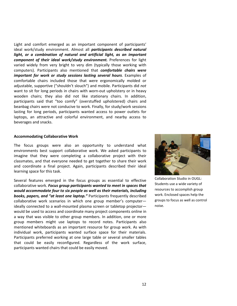Light and comfort emerged as an important component of participants' ideal work/study environment. Almost all *participants described natural* light, or a combination of natural and artificial light, as an important *component of their ideal work/study environment.* **Preferences for light** varied widely from very bright to very dim (typically those working with computers). Participants also mentioned that **comfortable chairs were** *important for work or study sessions lasting several hours*. Examples of comfortable chairs included those that were ergonomically molded or adjustable, supportive ("shouldn't slouch") and mobile. Participants did *not* want to sit for long periods in chairs with worn-out upholstery or in heavy wooden chairs; they also did not like stationary chairs. In addition, participants said that "too comfy" (overstuffed upholstered) chairs and beanbag chairs were not conducive to work. Finally, for study/work sessions lasting for long periods, participants wanted access to power outlets for laptops, an attractive and colorful environment, and nearby access to beverages and snacks.

#### **Accommodating Collaborative Work**

The focus groups were also an opportunity to understand what environments best support collaborative work. We asked participants to imagine that they were completing a collaborative project with their classmates, and that everyone needed to get together to share their work and coordinate a final project. Again, participants described their ideal learning space for this task.

Several features emerged in the focus groups as essential to effective collaborative work. *Focus group participants wanted to meet in spaces that* would accommodate four to six people as well as their materials, including **books, papers, and "at least one laptop."** Participants frequently described collaborative work scenarios in which one group member's computerideally connected to a wall-mounted plasma screen or tabletop projectorwould be used to access and coordinate many project components online in a way that was visible to other group members. In addition, one or more group members might use laptops to record notes. Participants also mentioned whiteboards as an important resource for group work. As with individual work, participants wanted surface space for their materials. Participants preferred working at one large table or several smaller tables that could be easily reconfigured. Regardless of the work surface, participants wanted chairs that could be easily moved.



Collaboration Studio in OUGL: Students use a wide variety of resources to accomplish group work. Enclosed spaces help the groups to focus as well as control noise.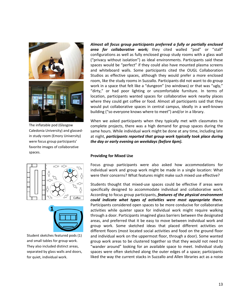

The inflatable pod (Glasgow Caledonia University) and glassedin study room (Emory University) were focus group participants' favorite images of collaborative spaces.





Student sketches featured pods (1) and small tables for group work. They also included distinct areas, separated by glass walls and doors, for quiet, individual work.

Almost all focus group participants preferred a fully or partially enclosed area for collaborative work; they cited walled "pod" or "stall" configurations as well as fully enclosed group study rooms with a glass wall ("privacy without isolation") as ideal environments. Participants said these spaces would be "perfect" if they could also have mounted plasma screens and whiteboard walls. Some participants cited the OUGL Collaboration Studios as effective spaces, although they would prefer a more enclosed room, like the study rooms in Suzzallo. Participants did not want to do group work in a space that felt like a "dungeon" (no windows) or that was "ugly," "dirty," or had poor lighting or uncomfortable furniture. In terms of location, participants wanted spaces for collaborative work nearby places where they could get coffee or food. Almost all participants said that they would put collaborative spaces in central campus, ideally in a well-known building ("so everyone knows where to meet") and/or in a library.

When we asked participants when they typically met with classmates to complete projects, there was a high demand for group spaces during the same hours. While individual work might be done at any time, including late at night, *participants reported that group work typically took place during the\$day\$or\$early\$evening\$on\$weekdays\$(before\$6pm).*

# **Providing for Mixed Use**

Focus group participants were also asked how accommodations for individual work and group work might be made in a single location: What were their concerns? What features might make such mixed use effective?

Students thought that mixed-use spaces could be effective if areas were specifically designed to accommodate individual and collaborative work. According to focus group participants, *features of the physical environment* could *indicate what types of activities were most appropriate there.* Participants considered open spaces to be more conducive for collaborative activities while quieter space for individual work might require walking through a door. Participants imagined glass barriers between the designated areas, and preferred that it be easy to move between individual work and group work. Some sketched ideas that placed different activities on different floors (most located social activities and food on the ground floor and individual work on the uppermost floor, through a door). Some wanted group work areas to be clustered together so that they would not need to "wander around" looking for an available space to meet. Individual study spaces were often sketched along the outer edges of a space; participants liked the way the current stacks in Suzzallo and Allen libraries act as a noise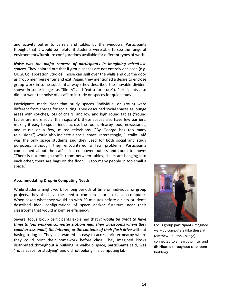and activity buffer to carrels and tables by the windows. Participants thought that it would be helpful if students were able to see the range of environments/furniture configurations available for different types of work.

*Noise was the major concern of participants in imagining mixed-use* spaces. They pointed out that if group spaces are not entirely enclosed (e.g. OUGL Collaboration Studios), noise can spill over the walls and out the door as group members enter and exit. Again, they mentioned a desire to enclose group work in some substantial way (they described the movable dividers' shown in some images as "flimsy" and "extra furniture"). Participants also did not want the noise of a café to intrude on spaces for quiet study.

Participants made clear that study spaces (individual or group) were different from spaces for socializing. They described social spaces as lounge areas with couches, lots of chairs, and low and high round tables ("round tables are more social than square"); these spaces also have few barriers, making it easy to spot friends across the room. Nearby food, newsstands, and music or a few, muted televisions ("By George has too many televisions") would also indicate a social space. Interestingly, Suzzallo Café was the only space students said they used for both social and study purposes, although they encountered a few problems. Participants complained about the café's limited power outlets and room to move: "There is not enough traffic room between tables, chairs are banging into each other, there are bags on the floor [...] too many people in too small a space."

#### **Accommodating Drop-in Computing Needs**

While students might work for long periods of time on individual or group projects, they also have the need to complete short tasks at a computer. When asked what they would do with 20 minutes before a class, students described ideal configurations of space and/or furniture near their classrooms that would maximize efficiency.

Several focus group participants explained that *it would be great to have* three to four walk-up computer stations near their classrooms where they could access email, the Internet, or the contents of their flash drive without having to log in. They also wanted an easy-to-access printer nearby where they could print their homework before class. They imagined kiosks distributed throughout a building; a walk-up space, participants said, was "not a space for studying" and did not belong in a computing lab.



Focus group participants imagined walk-up computers (like these at Matthew Boulton College) connected to a nearby printer and distributed throughout classroom buildings.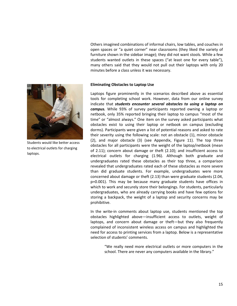Others imagined combinations of informal chairs, low tables, and couches in open spaces or "a quiet corner" near classrooms (they liked the variety of furniture shown in the sidebar image); they did not want stools. While a few students wanted outlets in these spaces ("at least one for every table"), many others said that they would not pull out their laptops with only 20 minutes before a class unless it was necessary.



Students would like better access to electrical outlets for charging laptops.

#### **Eliminating Obstacles to Laptop Use**

Laptops figure prominently in the scenarios described above as essential tools' for completing' school' work.' However, data from' our' online' survey' indicate that *students encounter several obstacles to using a laptop on campus.* While 93% of survey participants reported owning a laptop or netbook, only 35% reported bringing their laptop to campus "most of the time" or "almost always." One item on the survey asked participants what obstacles exist to using their laptop or netbook on campus (excluding dorms). Participants were given a list of potential reasons and asked to rate their severity using the following scale: not an obstacle (1), minor obstacle (2), and major obstacle (3) (see Appendix, Figure 11). The top three obstacles for all participants were the weight of the laptop/netbook (mean of 2.11); concern about damage or theft  $(2.10)$ ; and insufficient access to electrical outlets for charging (1.96). Although both graduate and undergraduates rated these obstacles as their top three, a comparison revealed that undergraduates rated each of these obstacles as more severe than did graduate students. For example, undergraduates were more concerned about damage or theft (2.13) than were graduate students (2.04, p=0.001). This may be because many graduate students have offices in which to work and securely store their belongings. For students, particularly undergraduates,'who'are'already'carrying'books'and'have' few'options' for' storing a backpack, the weight of a laptop and security concerns may be prohibitive.'

In the write-in comments about laptop use, students mentioned the top obstacles highlighted above—insufficient access to outlets, weight of laptops, and concern about damage or theft—but they also frequently complained of inconsistent wireless access on campus and highlighted the need for access to printing services from a laptop. Below is a representative selection of students' comments.

> "We really need more electrical outlets or more computers in the school. There are never any computers available in the library."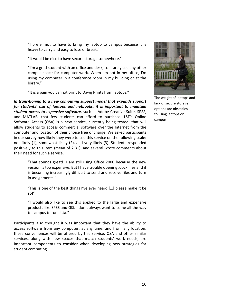"I prefer not to have to bring my laptop to campus because it is heavy to carry and easy to lose or break."

"It would be nice to have secure storage somewhere."

"I'm a grad student with an office and desk, so I rarely use any other campus space for computer work. When I'm not in my office, I'm using my computer in a conference room in my building or at the library."

"It is a pain you cannot print to Dawg Prints from laptops."

In transitioning to a new computing support model that expands support for students' use of laptops and netbooks, it is important to maintain **student access to expensive software**, such as Adobe Creative Suite, SPSS, and MATLAB, that few students can afford to purchase. LST's Online Software Access (OSA) is a new service, currently being tested, that will allow students to access commercial software over the Internet from the computer and location of their choice free of charge. We asked participants in our survey how likely they were to use this service on the following scale: not likely (1), somewhat likely (2), and very likely (3). Students responded positively to this item (mean of 2.31), and several wrote comments about their need for such a service.

> "That sounds great!! I am still using Office 2000 because the new version is too expensive. But I have trouble opening .docx files and it is becoming increasingly difficult to send and receive files and turn in assignments."

> "This is one of the best things I've ever heard [...] please make it be so!"

> "I would also like to see this applied to the large and expensive products like SPSS and GIS. I don't always want to come all the way to campus to run data."

Participants also thought it was important that they have the ability to access software from any computer, at any time, and from any location; these conveniences will be offered by this service. OSA and other similar services, along with new spaces that match students' work needs, are important components to consider when developing new strategies for student computing.



The weight of laptops and lack of secure storage options are obstacles to using laptops on campus.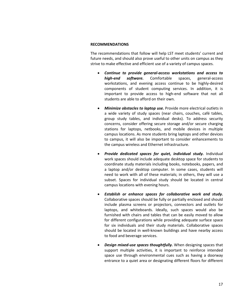### **RECOMMENDATIONS**

The recommendations that follow will help LST meet students' current and future needs, and should also prove useful to other units on campus as they strive to make effective and efficient use of a variety of campus spaces.

- Continue to provide general-access workstations and access to *high-end* software. Comfortable spaces, general-access workstations, and evening access continue to be highly-desired components of student computing services. In addition, it is important to provide access to high-end software that not all students are able to afford on their own.
- **•** Minimize obstacles to laptop use. Provide more electrical outlets in a wide variety of study spaces (near chairs, couches, café tables, group study tables, and individual desks). To address security concerns, consider offering secure storage and/or secure charging stations for laptops, netbooks, and mobile devices in multiple campus locations. As more students bring laptops and other devices to campus, it will also be important to consider enhancements to the campus wireless and Ethernet infrastructure.
- **Provide dedicated spaces for quiet, individual study.** Individual work spaces should include adequate desktop space for students to coordinate study materials including books, notebooks, papers, and a laptop and/or desktop computer. In some cases, students will need to work with all of these materials; in others, they will use a subset. Spaces for individual study should be located in central campus locations with evening hours.
- Establish or enhance spaces for collaborative work and study. Collaborative spaces should be fully or partially enclosed and should include plasma screens or projectors, connectors and outlets for laptops, and whiteboards. Ideally, such spaces would also be furnished with chairs and tables that can be easily moved to allow for different configurations while providing adequate surface space for six individuals and their study materials. Collaborative spaces should be located in well-known buildings and have nearby access to food and beverage services.
- Design mixed-use spaces thoughtfully. When designing spaces that support multiple activities, it is important to reinforce intended space use through environmental cues such as having a doorway entrance to a quiet area or designating different floors for different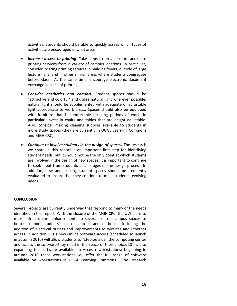activities. Students should be able to quickly assess which types of activities are encouraged in what areas.

- *Increase access to printing*. Take steps to provide more access to printing services from a variety of campus locations. In particular, consider locating printing services in building foyers, outside of large lecture halls, and in other similar areas where students congregate before class. At the same time, encourage electronic document exchange in place of printing.
- **Consider aesthetics and comfort**. Student spaces should be "attractive and colorful" and utilize natural light wherever possible; natural light should be supplemented with adequate or adjustable light appropriate to work areas. Spaces should also be equipped with furniture that is comfortable for long periods of work. In particular, invest in chairs and tables that are height adjustable. Also, consider making cleaning supplies available to students in more study spaces (they are currently in OUGL Learning Commons' and MGH CRC).
- **Continue to involve students in the design of spaces.** The research we share in this report is an important first step for identifying student needs, but it should not be the only point at which students are involved in the design of new spaces. It is important to continue to seek input from students at all stages of the design process. In addition, new and existing student spaces should be frequently evaluated to ensure that they continue to meet students' evolving needs.

#### **CONCLUSION**

Several projects are currently underway that respond to many of the needs identified in this report. With the closure of the MGH CRC, the UW plans to make infrastructure enhancements to several central campus spaces to better support students' use of laptops and netbooks—including the addition of electrical outlets and improvements to wireless and Ethernet access. In addition, LST's new Online Software Access (scheduled to launch in autumn 2010) will allow students to "step outside" the computing center and access the software they need in the space of their choice. LST is also expanding the software available on Access+ workstations; beginning in autumn 2010 these workstations will offer the full range of software available on workstations in OUGL Learning Commons. The Research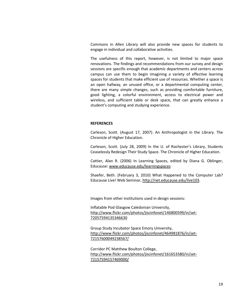Commons in Allen Library will also provide new spaces for students to engage in individual and collaborative activities.

The usefulness of this report, however, is not limited to major space renovations. The findings and recommendations from our survey and design sessions are specific enough that academic departments and centers across campus can use them to begin imagining a variety of effective learning spaces for students that make efficient use of resources. Whether a space is an open hallway, an unused office, or a departmental computing center, there are many simple changes, such as providing comfortable furniture, good' lighting,' a' colorful' environment,' access' to' electrical' power' and' wireless, and sufficient table or desk space, that can greatly enhance a student's computing and studying experience.

# **REFERENCES**

Carleson, Scott. (August 17, 2007). An Anthropologist in the Library. The Chronicle of Higher Education.

Carleson, Scott. (July 28, 2009) In the U. of Rochester's Library, Students Ceaselessly Redesign Their Study Space. The Chronicle of Higher Education.

Cattier, Alan R. (2006) In Learning Spaces, edited by Diana G. Oblinger, Educause:['www.educause.edu/learningspaces](http://www.educause.edu/learningspaces)

Shaefer, Beth. (February 3, 2010) What Happened to the Computer Lab? Educause Live! Web Seminar, http://net.educause.edu/live103.

Images from other institutions used in design sessions:

Inflatable Pod Glasgow Caledonian University, http://www.flickr.com/photos/jiscinfonet/146800599/in/set-[72057594135346630](http://www.flickr.com/photos/jiscinfonet/146800599/in/set-72057594135346630)

Group Study Incubator Space Emory University, http://www.flickr.com/photos/jiscinfonet/464981876/in/set-[72157600049238567/](http://www.flickr.com/photos/jiscinfonet/464981876/in/set-72157600049238567/)

Corridor PC Matthew Boulton College, http://www.flickr.com/photos/jiscinfonet/161653580/in/set-[72157594157469000/](http://www.flickr.com/photos/jiscinfonet/161653580/in/set-72157594157469000/)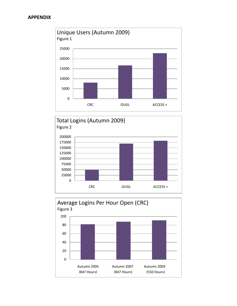



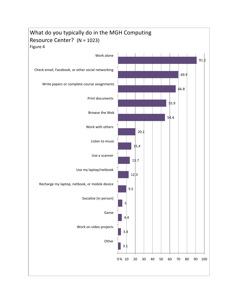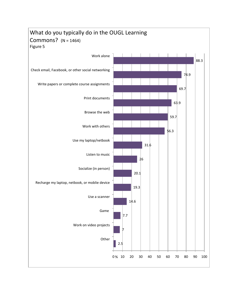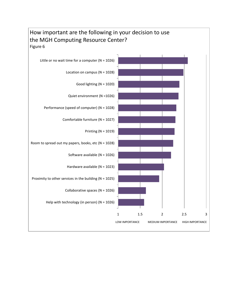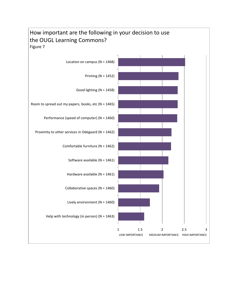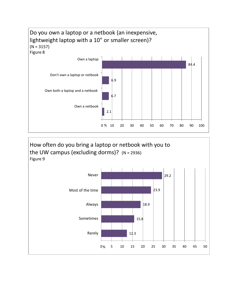

How often do you bring a laptop or netbook with you to the UW campus (excluding dorms)?  $(N = 2936)$ Figure 9

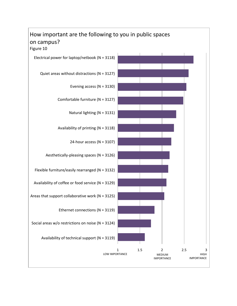